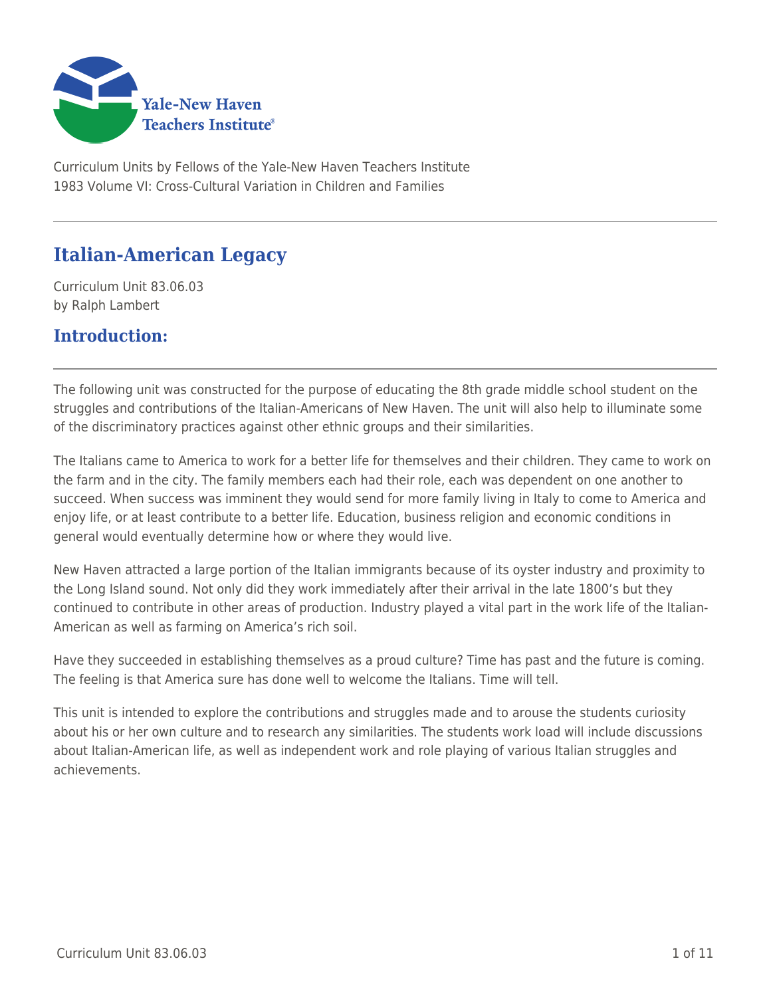

Curriculum Units by Fellows of the Yale-New Haven Teachers Institute 1983 Volume VI: Cross-Cultural Variation in Children and Families

# **Italian-American Legacy**

Curriculum Unit 83.06.03 by Ralph Lambert

# **Introduction:**

The following unit was constructed for the purpose of educating the 8th grade middle school student on the struggles and contributions of the Italian-Americans of New Haven. The unit will also help to illuminate some of the discriminatory practices against other ethnic groups and their similarities.

The Italians came to America to work for a better life for themselves and their children. They came to work on the farm and in the city. The family members each had their role, each was dependent on one another to succeed. When success was imminent they would send for more family living in Italy to come to America and enjoy life, or at least contribute to a better life. Education, business religion and economic conditions in general would eventually determine how or where they would live.

New Haven attracted a large portion of the Italian immigrants because of its oyster industry and proximity to the Long Island sound. Not only did they work immediately after their arrival in the late 1800's but they continued to contribute in other areas of production. Industry played a vital part in the work life of the Italian-American as well as farming on America's rich soil.

Have they succeeded in establishing themselves as a proud culture? Time has past and the future is coming. The feeling is that America sure has done well to welcome the Italians. Time will tell.

This unit is intended to explore the contributions and struggles made and to arouse the students curiosity about his or her own culture and to research any similarities. The students work load will include discussions about Italian-American life, as well as independent work and role playing of various Italian struggles and achievements.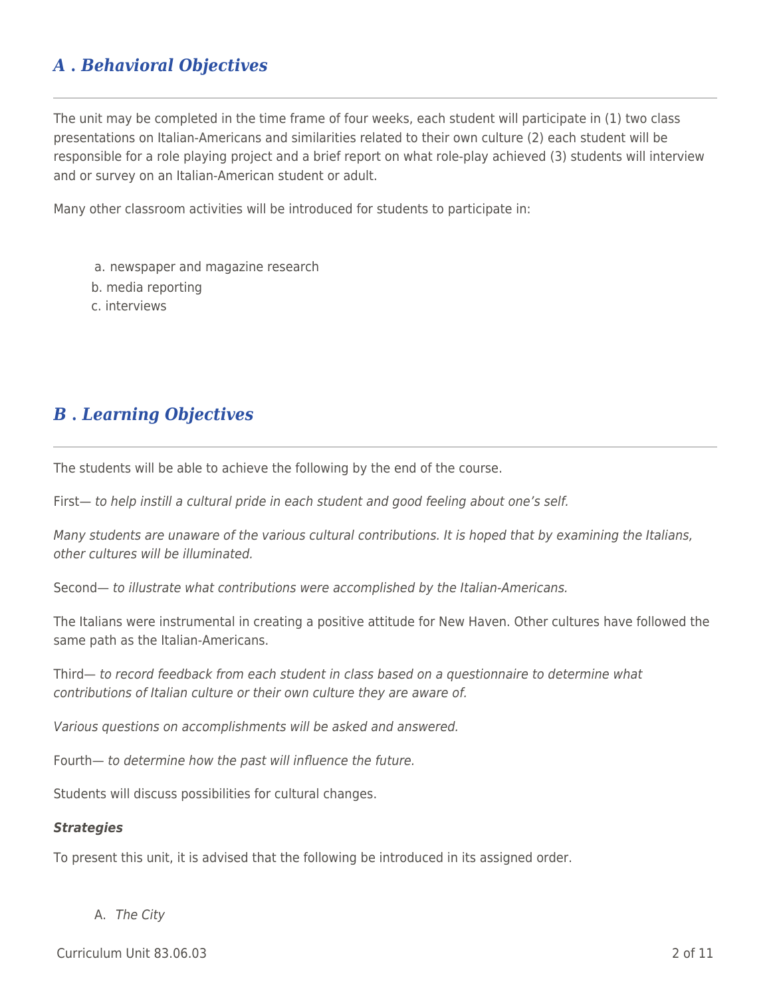# *A* **.** *Behavioral Objectives*

The unit may be completed in the time frame of four weeks, each student will participate in (1) two class presentations on Italian-Americans and similarities related to their own culture (2) each student will be responsible for a role playing project and a brief report on what role-play achieved (3) students will interview and or survey on an Italian-American student or adult.

Many other classroom activities will be introduced for students to participate in:

a. newspaper and magazine research

b. media reporting

c. interviews

# *B* **.** *Learning Objectives*

The students will be able to achieve the following by the end of the course.

First— to help instill a cultural pride in each student and good feeling about one's self.

Many students are unaware of the various cultural contributions. It is hoped that by examining the Italians, other cultures will be illuminated.

Second— to illustrate what contributions were accomplished by the Italian-Americans.

The Italians were instrumental in creating a positive attitude for New Haven. Other cultures have followed the same path as the Italian-Americans.

Third— to record feedback from each student in class based on a questionnaire to determine what contributions of Italian culture or their own culture they are aware of.

Various questions on accomplishments will be asked and answered.

Fourth— to determine how the past will influence the future.

Students will discuss possibilities for cultural changes.

#### *Strategies*

To present this unit, it is advised that the following be introduced in its assigned order.

#### A. The City

Curriculum Unit 83.06.03 2 of 11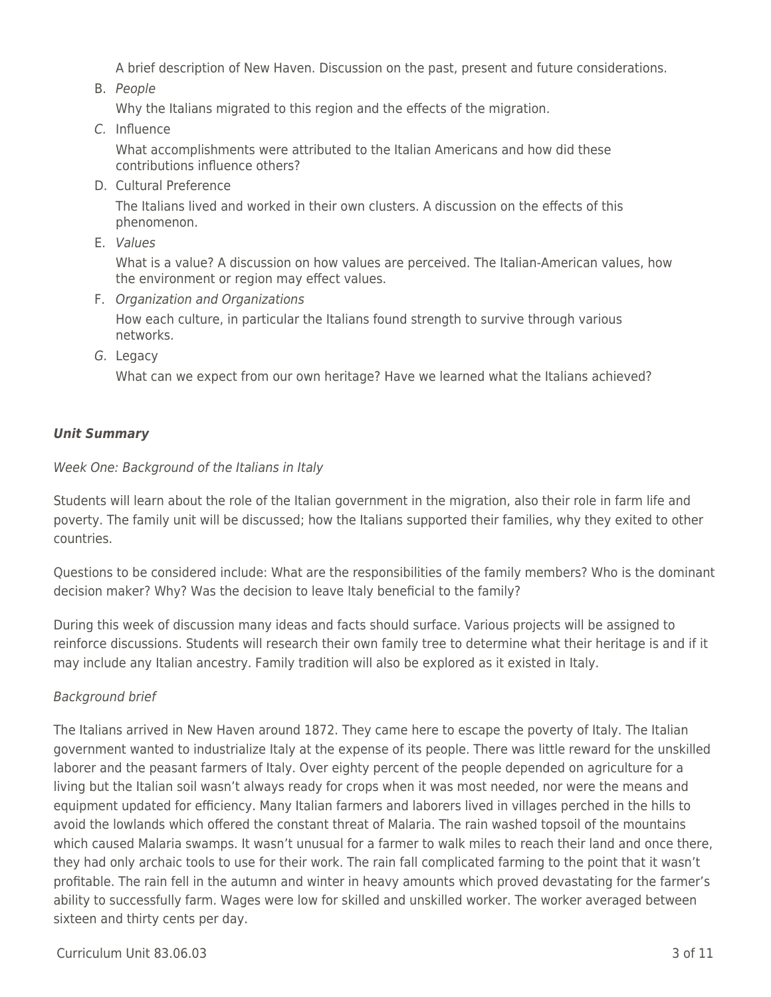A brief description of New Haven. Discussion on the past, present and future considerations.

B. People

Why the Italians migrated to this region and the effects of the migration.

C. Influence

What accomplishments were attributed to the Italian Americans and how did these contributions influence others?

D. Cultural Preference

The Italians lived and worked in their own clusters. A discussion on the effects of this phenomenon.

E. Values

What is a value? A discussion on how values are perceived. The Italian-American values, how the environment or region may effect values.

F. Organization and Organizations

How each culture, in particular the Italians found strength to survive through various networks.

G. Legacy

What can we expect from our own heritage? Have we learned what the Italians achieved?

# *Unit Summary*

### Week One: Background of the Italians in Italy

Students will learn about the role of the Italian government in the migration, also their role in farm life and poverty. The family unit will be discussed; how the Italians supported their families, why they exited to other countries.

Questions to be considered include: What are the responsibilities of the family members? Who is the dominant decision maker? Why? Was the decision to leave Italy beneficial to the family?

During this week of discussion many ideas and facts should surface. Various projects will be assigned to reinforce discussions. Students will research their own family tree to determine what their heritage is and if it may include any Italian ancestry. Family tradition will also be explored as it existed in Italy.

# Background brief

The Italians arrived in New Haven around 1872. They came here to escape the poverty of Italy. The Italian government wanted to industrialize Italy at the expense of its people. There was little reward for the unskilled laborer and the peasant farmers of Italy. Over eighty percent of the people depended on agriculture for a living but the Italian soil wasn't always ready for crops when it was most needed, nor were the means and equipment updated for efficiency. Many Italian farmers and laborers lived in villages perched in the hills to avoid the lowlands which offered the constant threat of Malaria. The rain washed topsoil of the mountains which caused Malaria swamps. It wasn't unusual for a farmer to walk miles to reach their land and once there, they had only archaic tools to use for their work. The rain fall complicated farming to the point that it wasn't profitable. The rain fell in the autumn and winter in heavy amounts which proved devastating for the farmer's ability to successfully farm. Wages were low for skilled and unskilled worker. The worker averaged between sixteen and thirty cents per day.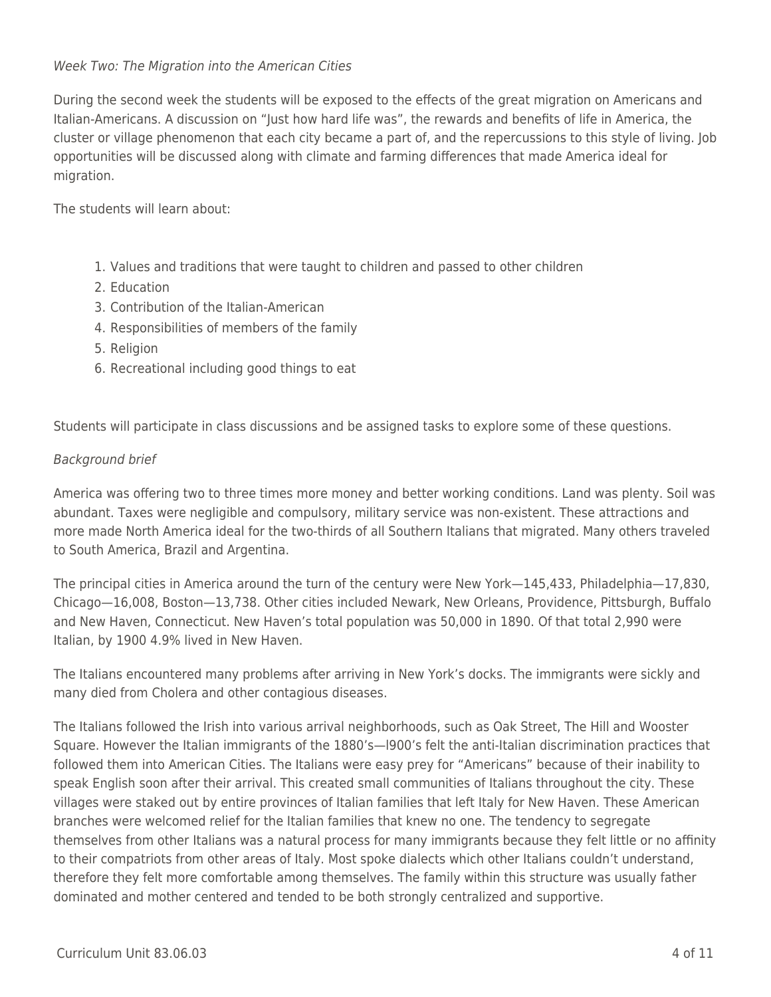# Week Two: The Migration into the American Cities

During the second week the students will be exposed to the effects of the great migration on Americans and Italian-Americans. A discussion on "Just how hard life was", the rewards and benefits of life in America, the cluster or village phenomenon that each city became a part of, and the repercussions to this style of living. Job opportunities will be discussed along with climate and farming differences that made America ideal for migration.

The students will learn about:

- 1. Values and traditions that were taught to children and passed to other children
- 2. Education
- 3. Contribution of the Italian-American
- 4. Responsibilities of members of the family
- 5. Religion
- 6. Recreational including good things to eat

Students will participate in class discussions and be assigned tasks to explore some of these questions.

# Background brief

America was offering two to three times more money and better working conditions. Land was plenty. Soil was abundant. Taxes were negligible and compulsory, military service was non-existent. These attractions and more made North America ideal for the two-thirds of all Southern Italians that migrated. Many others traveled to South America, Brazil and Argentina.

The principal cities in America around the turn of the century were New York—145,433, Philadelphia—17,830, Chicago—16,008, Boston—13,738. Other cities included Newark, New Orleans, Providence, Pittsburgh, Buffalo and New Haven, Connecticut. New Haven's total population was 50,000 in 1890. Of that total 2,990 were Italian, by 1900 4.9% lived in New Haven.

The Italians encountered many problems after arriving in New York's docks. The immigrants were sickly and many died from Cholera and other contagious diseases.

The Italians followed the Irish into various arrival neighborhoods, such as Oak Street, The Hill and Wooster Square. However the Italian immigrants of the 1880's—l900's felt the anti-Italian discrimination practices that followed them into American Cities. The Italians were easy prey for "Americans" because of their inability to speak English soon after their arrival. This created small communities of Italians throughout the city. These villages were staked out by entire provinces of Italian families that left Italy for New Haven. These American branches were welcomed relief for the Italian families that knew no one. The tendency to segregate themselves from other Italians was a natural process for many immigrants because they felt little or no affinity to their compatriots from other areas of Italy. Most spoke dialects which other Italians couldn't understand, therefore they felt more comfortable among themselves. The family within this structure was usually father dominated and mother centered and tended to be both strongly centralized and supportive.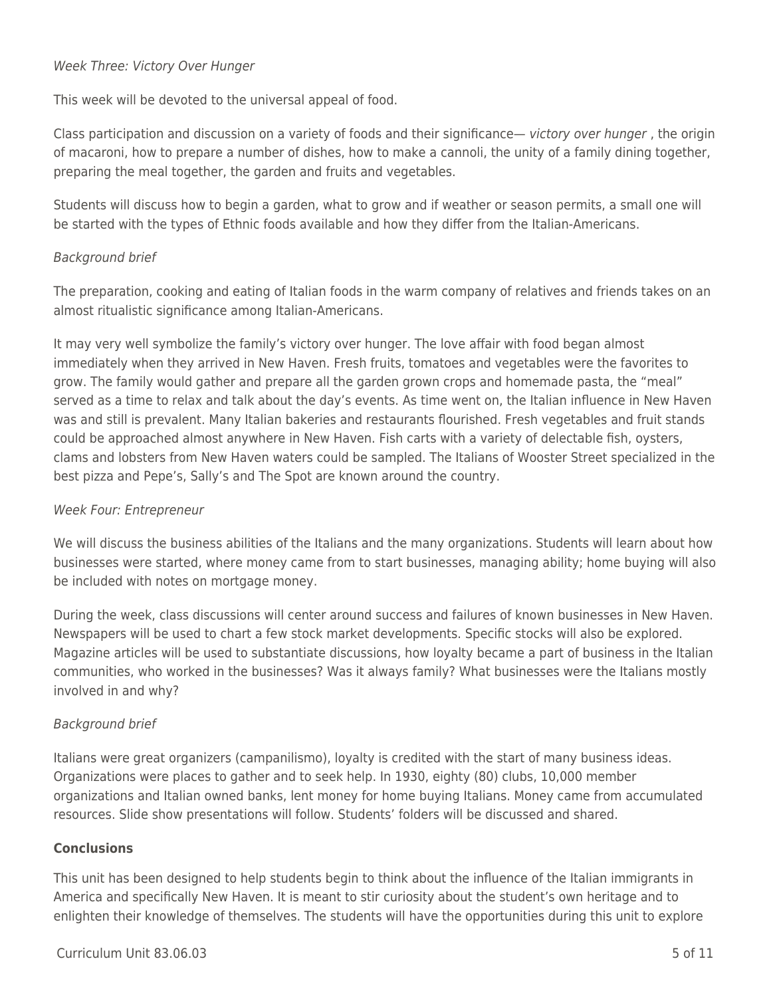### Week Three: Victory Over Hunger

This week will be devoted to the universal appeal of food.

Class participation and discussion on a variety of foods and their significance— victory over hunger, the origin of macaroni, how to prepare a number of dishes, how to make a cannoli, the unity of a family dining together, preparing the meal together, the garden and fruits and vegetables.

Students will discuss how to begin a garden, what to grow and if weather or season permits, a small one will be started with the types of Ethnic foods available and how they differ from the Italian-Americans.

# Background brief

The preparation, cooking and eating of Italian foods in the warm company of relatives and friends takes on an almost ritualistic significance among Italian-Americans.

It may very well symbolize the family's victory over hunger. The love affair with food began almost immediately when they arrived in New Haven. Fresh fruits, tomatoes and vegetables were the favorites to grow. The family would gather and prepare all the garden grown crops and homemade pasta, the "meal" served as a time to relax and talk about the day's events. As time went on, the Italian influence in New Haven was and still is prevalent. Many Italian bakeries and restaurants flourished. Fresh vegetables and fruit stands could be approached almost anywhere in New Haven. Fish carts with a variety of delectable fish, oysters, clams and lobsters from New Haven waters could be sampled. The Italians of Wooster Street specialized in the best pizza and Pepe's, Sally's and The Spot are known around the country.

# Week Four: Entrepreneur

We will discuss the business abilities of the Italians and the many organizations. Students will learn about how businesses were started, where money came from to start businesses, managing ability; home buying will also be included with notes on mortgage money.

During the week, class discussions will center around success and failures of known businesses in New Haven. Newspapers will be used to chart a few stock market developments. Specific stocks will also be explored. Magazine articles will be used to substantiate discussions, how loyalty became a part of business in the Italian communities, who worked in the businesses? Was it always family? What businesses were the Italians mostly involved in and why?

# Background brief

Italians were great organizers (campanilismo), loyalty is credited with the start of many business ideas. Organizations were places to gather and to seek help. In 1930, eighty (80) clubs, 10,000 member organizations and Italian owned banks, lent money for home buying Italians. Money came from accumulated resources. Slide show presentations will follow. Students' folders will be discussed and shared.

# **Conclusions**

This unit has been designed to help students begin to think about the influence of the Italian immigrants in America and specifically New Haven. It is meant to stir curiosity about the student's own heritage and to enlighten their knowledge of themselves. The students will have the opportunities during this unit to explore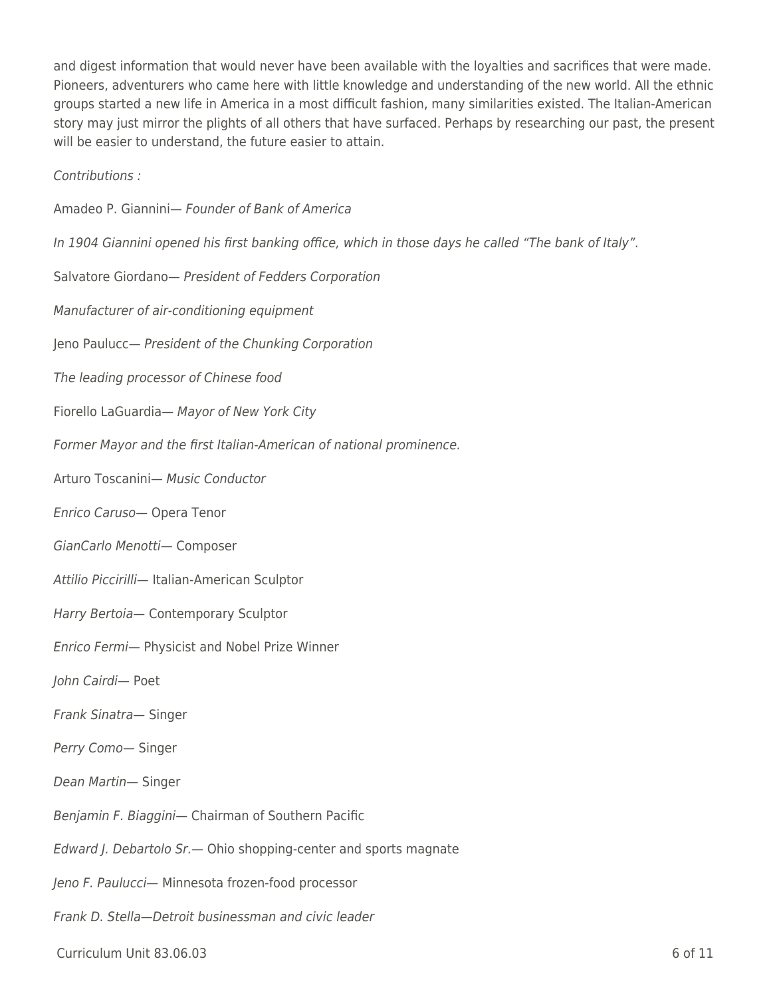and digest information that would never have been available with the loyalties and sacrifices that were made. Pioneers, adventurers who came here with little knowledge and understanding of the new world. All the ethnic groups started a new life in America in a most difficult fashion, many similarities existed. The Italian-American story may just mirror the plights of all others that have surfaced. Perhaps by researching our past, the present will be easier to understand, the future easier to attain.

Contributions :

- Amadeo P. Giannini— Founder of Bank of America In 1904 Giannini opened his first banking office, which in those days he called "The bank of Italy". Salvatore Giordano— President of Fedders Corporation Manufacturer of air-conditioning equipment Jeno Paulucc— President of the Chunking Corporation The leading processor of Chinese food Fiorello LaGuardia— Mayor of New York City Former Mayor and the first Italian-American of national prominence. Arturo Toscanini— Music Conductor Enrico Caruso— Opera Tenor GianCarlo Menotti— Composer Attilio Piccirilli— Italian-American Sculptor Harry Bertoia— Contemporary Sculptor Enrico Fermi— Physicist and Nobel Prize Winner John Cairdi— Poet Frank Sinatra— Singer Perry Como— Singer Dean Martin— Singer Benjamin F. Biaggini— Chairman of Southern Pacific Edward J. Debartolo Sr.— Ohio shopping-center and sports magnate Jeno F. Paulucci— Minnesota frozen-food processor
- Frank D. Stella—Detroit businessman and civic leader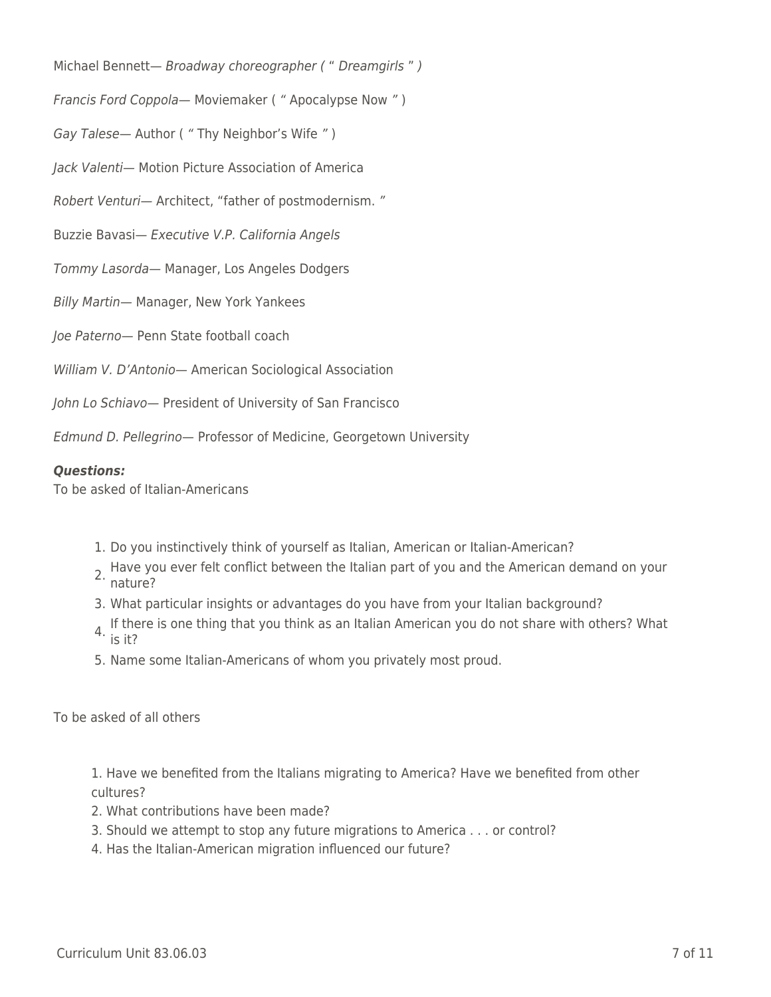Michael Bennett- Broadway choreographer (" Dreamgirls")

Francis Ford Coppola— Moviemaker ( " Apocalypse Now " )

Gay Talese— Author ( " Thy Neighbor's Wife " )

Jack Valenti— Motion Picture Association of America

Robert Venturi— Architect, "father of postmodernism. "

Buzzie Bavasi— Executive V.P. California Angels

Tommy Lasorda— Manager, Los Angeles Dodgers

Billy Martin— Manager, New York Yankees

Joe Paterno— Penn State football coach

William V. D'Antonio— American Sociological Association

John Lo Schiavo— President of University of San Francisco

Edmund D. Pellegrino— Professor of Medicine, Georgetown University

#### *Questions:*

To be asked of Italian-Americans

- 1. Do you instinctively think of yourself as Italian, American or Italian-American?
- 2. Have you ever felt conflict between the Italian part of you and the American demand on your nature?
- 3. What particular insights or advantages do you have from your Italian background?
- 4. If there is one thing that you think as an Italian American you do not share with others? What is it?
- 5. Name some Italian-Americans of whom you privately most proud.

To be asked of all others

1. Have we benefited from the Italians migrating to America? Have we benefited from other cultures?

- 2. What contributions have been made?
- 3. Should we attempt to stop any future migrations to America . . . or control?
- 4. Has the Italian-American migration influenced our future?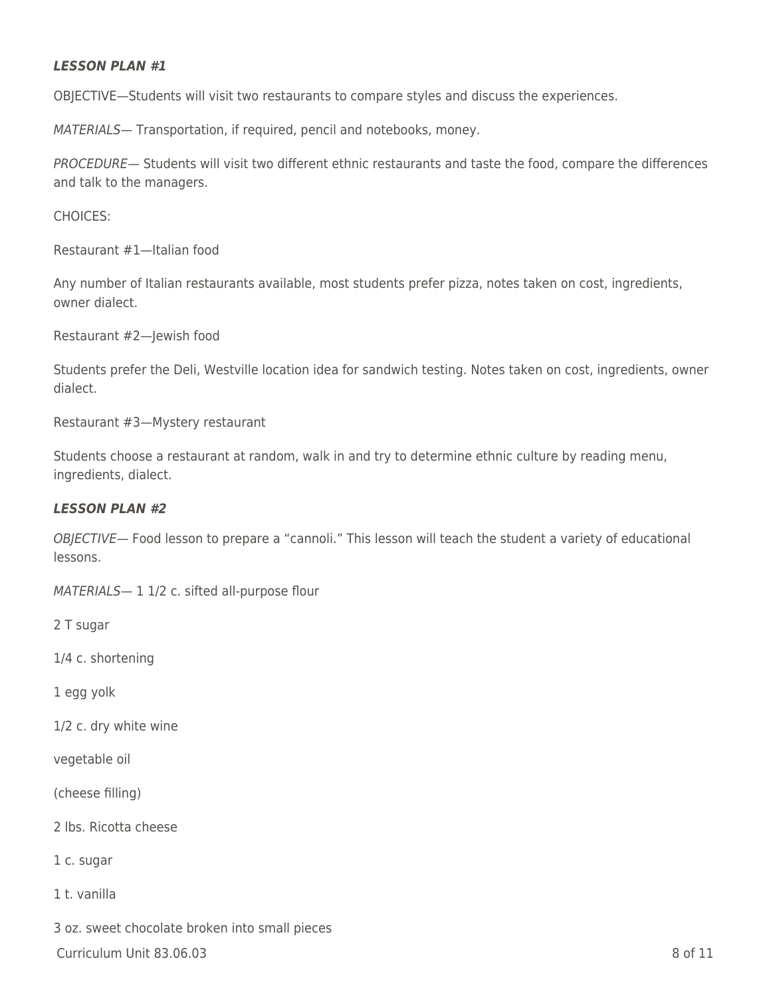#### *LESSON PLAN #1*

OBJECTIVE—Students will visit two restaurants to compare styles and discuss the experiences.

MATERIALS— Transportation, if required, pencil and notebooks, money.

PROCEDURE— Students will visit two different ethnic restaurants and taste the food, compare the differences and talk to the managers.

CHOICES:

Restaurant #1—Italian food

Any number of Italian restaurants available, most students prefer pizza, notes taken on cost, ingredients, owner dialect.

Restaurant #2—Jewish food

Students prefer the Deli, Westville location idea for sandwich testing. Notes taken on cost, ingredients, owner dialect.

Restaurant #3—Mystery restaurant

Students choose a restaurant at random, walk in and try to determine ethnic culture by reading menu, ingredients, dialect.

#### *LESSON PLAN #2*

OBJECTIVE— Food lesson to prepare a "cannoli." This lesson will teach the student a variety of educational lessons.

MATERIALS-1 1/2 c. sifted all-purpose flour

2 T sugar

1/4 c. shortening

1 egg yolk

1/2 c. dry white wine

vegetable oil

(cheese filling)

2 lbs. Ricotta cheese

1 c. sugar

1 t. vanilla

3 oz. sweet chocolate broken into small pieces

 $C$ urriculum Unit 83.06.03  $\qquad \qquad$  8 of 11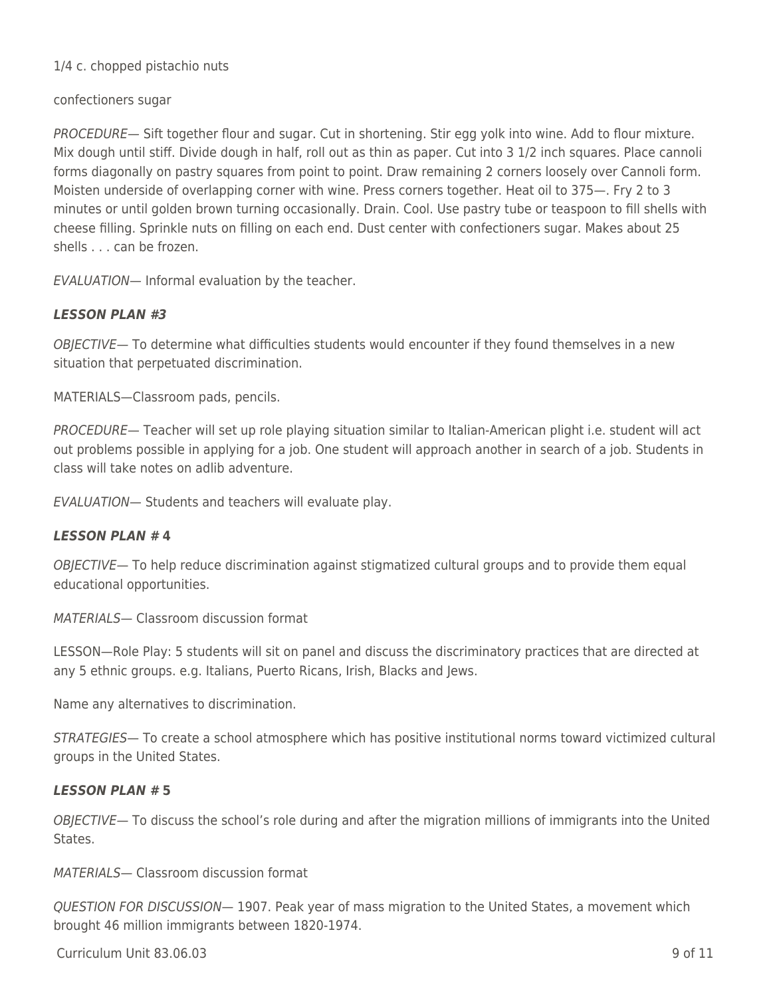### 1/4 c. chopped pistachio nuts

#### confectioners sugar

PROCEDURE— Sift together flour and sugar. Cut in shortening. Stir egg yolk into wine. Add to flour mixture. Mix dough until stiff. Divide dough in half, roll out as thin as paper. Cut into 3 1/2 inch squares. Place cannoli forms diagonally on pastry squares from point to point. Draw remaining 2 corners loosely over Cannoli form. Moisten underside of overlapping corner with wine. Press corners together. Heat oil to 375—. Fry 2 to 3 minutes or until golden brown turning occasionally. Drain. Cool. Use pastry tube or teaspoon to fill shells with cheese filling. Sprinkle nuts on filling on each end. Dust center with confectioners sugar. Makes about 25 shells . . . can be frozen.

EVALUATION— Informal evaluation by the teacher.

### *LESSON PLAN #3*

OBJECTIVE— To determine what difficulties students would encounter if they found themselves in a new situation that perpetuated discrimination.

MATERIALS—Classroom pads, pencils.

PROCEDURE— Teacher will set up role playing situation similar to Italian-American plight i.e. student will act out problems possible in applying for a job. One student will approach another in search of a job. Students in class will take notes on adlib adventure.

EVALUATION— Students and teachers will evaluate play.

#### *LESSON PLAN #* **4**

OBJECTIVE— To help reduce discrimination against stigmatized cultural groups and to provide them equal educational opportunities.

MATERIALS— Classroom discussion format

LESSON—Role Play: 5 students will sit on panel and discuss the discriminatory practices that are directed at any 5 ethnic groups. e.g. Italians, Puerto Ricans, Irish, Blacks and Jews.

Name any alternatives to discrimination.

STRATEGIES— To create a school atmosphere which has positive institutional norms toward victimized cultural groups in the United States.

#### *LESSON PLAN #* **5**

OBJECTIVE— To discuss the school's role during and after the migration millions of immigrants into the United States.

MATERIALS— Classroom discussion format

QUESTION FOR DISCUSSION— 1907. Peak year of mass migration to the United States, a movement which brought 46 million immigrants between 1820-1974.

 $C$ urriculum Unit 83.06.03 9 of 11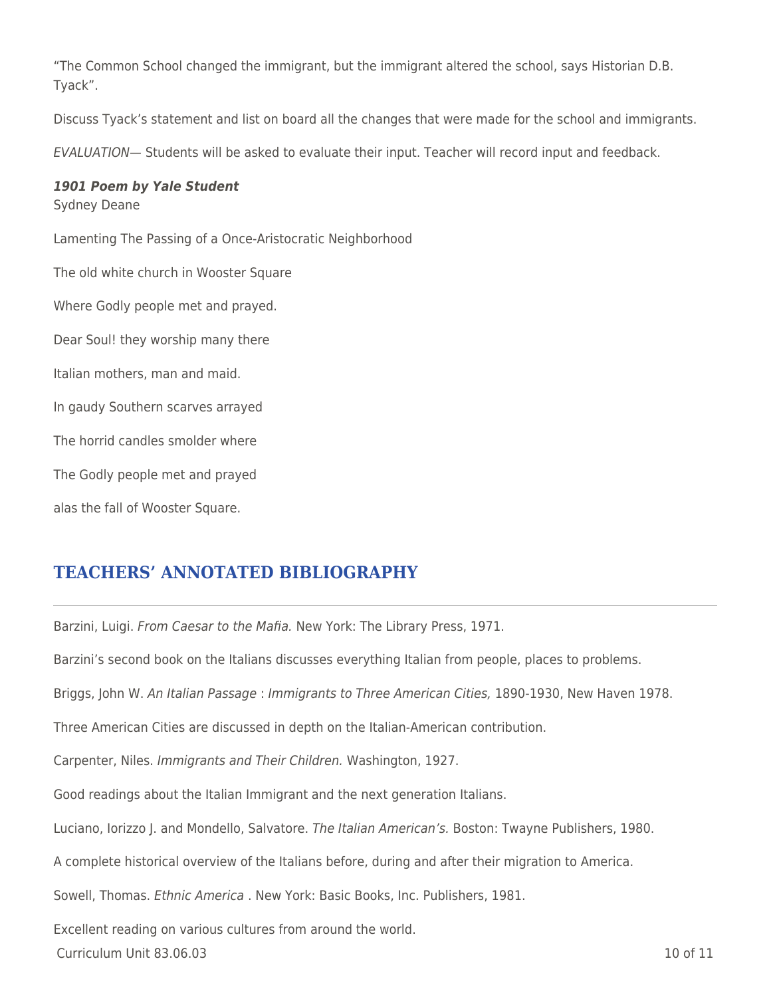"The Common School changed the immigrant, but the immigrant altered the school, says Historian D.B. Tyack".

Discuss Tyack's statement and list on board all the changes that were made for the school and immigrants.

EVALUATION— Students will be asked to evaluate their input. Teacher will record input and feedback.

#### *1901 Poem by Yale Student* Sydney Deane

Lamenting The Passing of a Once-Aristocratic Neighborhood The old white church in Wooster Square Where Godly people met and prayed. Dear Soul! they worship many there Italian mothers, man and maid. In gaudy Southern scarves arrayed The horrid candles smolder where The Godly people met and prayed alas the fall of Wooster Square.

# **TEACHERS' ANNOTATED BIBLIOGRAPHY**

Barzini, Luigi. From Caesar to the Mafia. New York: The Library Press, 1971.

Barzini's second book on the Italians discusses everything Italian from people, places to problems.

Briggs, John W. An Italian Passage : Immigrants to Three American Cities, 1890-1930, New Haven 1978.

Three American Cities are discussed in depth on the Italian-American contribution.

Carpenter, Niles. Immigrants and Their Children. Washington, 1927.

Good readings about the Italian Immigrant and the next generation Italians.

Luciano, Iorizzo J. and Mondello, Salvatore. The Italian American's. Boston: Twayne Publishers, 1980.

A complete historical overview of the Italians before, during and after their migration to America.

Sowell, Thomas. Ethnic America . New York: Basic Books, Inc. Publishers, 1981.

Excellent reading on various cultures from around the world.

 $C$ urriculum Unit 83.06.03  $\qquad \qquad$  10 of 11